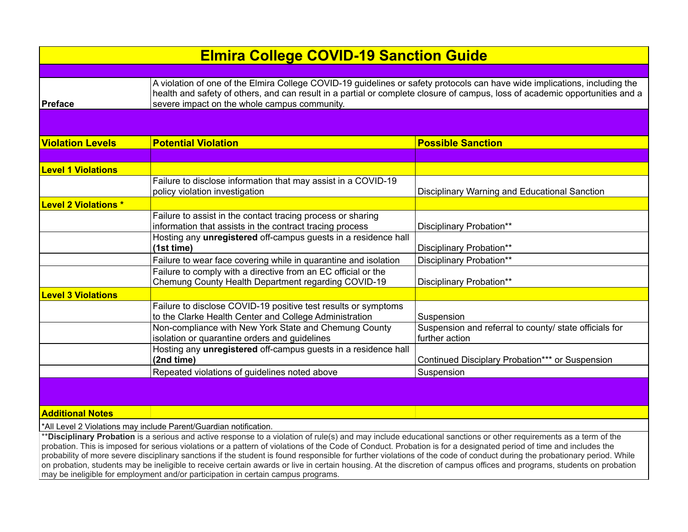| <b>Elmira College COVID-19 Sanction Guide</b> |                                                                                                                                                                                                                                                                                                            |                                                                          |
|-----------------------------------------------|------------------------------------------------------------------------------------------------------------------------------------------------------------------------------------------------------------------------------------------------------------------------------------------------------------|--------------------------------------------------------------------------|
|                                               |                                                                                                                                                                                                                                                                                                            |                                                                          |
| <b>Preface</b>                                | A violation of one of the Elmira College COVID-19 guidelines or safety protocols can have wide implications, including the<br>health and safety of others, and can result in a partial or complete closure of campus, loss of academic opportunities and a<br>severe impact on the whole campus community. |                                                                          |
|                                               |                                                                                                                                                                                                                                                                                                            |                                                                          |
| <b>Violation Levels</b>                       | <b>Potential Violation</b>                                                                                                                                                                                                                                                                                 | <b>Possible Sanction</b>                                                 |
|                                               |                                                                                                                                                                                                                                                                                                            |                                                                          |
| <b>Level 1 Violations</b>                     |                                                                                                                                                                                                                                                                                                            |                                                                          |
|                                               | Failure to disclose information that may assist in a COVID-19<br>policy violation investigation                                                                                                                                                                                                            | Disciplinary Warning and Educational Sanction                            |
| <b>Level 2 Violations *</b>                   |                                                                                                                                                                                                                                                                                                            |                                                                          |
|                                               | Failure to assist in the contact tracing process or sharing<br>information that assists in the contract tracing process                                                                                                                                                                                    | Disciplinary Probation**                                                 |
|                                               | Hosting any unregistered off-campus guests in a residence hall<br>(1st time)                                                                                                                                                                                                                               | Disciplinary Probation**                                                 |
|                                               | Failure to wear face covering while in quarantine and isolation                                                                                                                                                                                                                                            | Disciplinary Probation**                                                 |
|                                               | Failure to comply with a directive from an EC official or the<br>Chemung County Health Department regarding COVID-19                                                                                                                                                                                       | Disciplinary Probation**                                                 |
| <b>Level 3 Violations</b>                     |                                                                                                                                                                                                                                                                                                            |                                                                          |
|                                               | Failure to disclose COVID-19 positive test results or symptoms<br>to the Clarke Health Center and College Administration                                                                                                                                                                                   | Suspension                                                               |
|                                               | Non-compliance with New York State and Chemung County<br>isolation or quarantine orders and guidelines                                                                                                                                                                                                     | Suspension and referral to county/ state officials for<br>further action |
|                                               | Hosting any unregistered off-campus guests in a residence hall<br>(2nd time)                                                                                                                                                                                                                               | Continued Disciplary Probation*** or Suspension                          |
|                                               | Repeated violations of guidelines noted above                                                                                                                                                                                                                                                              | Suspension                                                               |
|                                               |                                                                                                                                                                                                                                                                                                            |                                                                          |

**Additional Notes** 

\*All Level 2 Violations may include Parent/Guardian notification.

\*\***Disciplinary Probation** is a serious and active response to a violation of rule(s) and may include educational sanctions or other requirements as a term of the probation. This is imposed for serious violations or a pattern of violations of the Code of Conduct. Probation is for a designated period of time and includes the probability of more severe disciplinary sanctions if the student is found responsible for further violations of the code of conduct during the probationary period. While on probation, students may be ineligible to receive certain awards or live in certain housing. At the discretion of campus offices and programs, students on probation may be ineligible for employment and/or participation in certain campus programs.